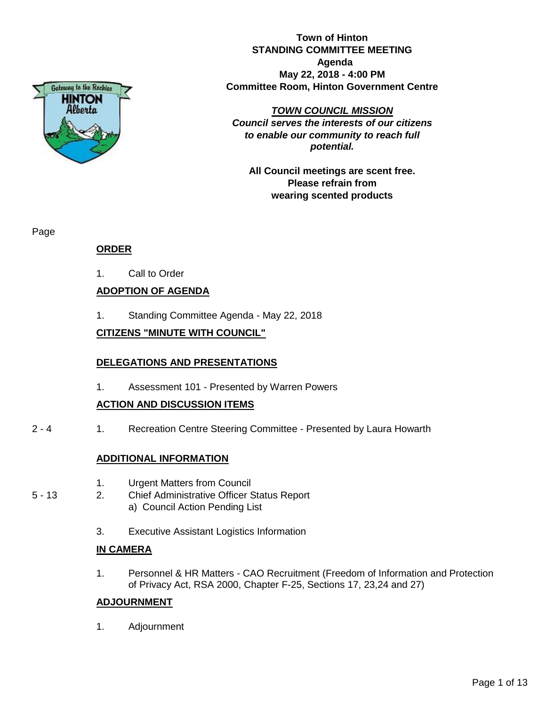

**Town of Hinton STANDING COMMITTEE MEETING Agenda May 22, 2018 - 4:00 PM Committee Room, Hinton Government Centre**

#### *TOWN COUNCIL MISSION*

*Council serves the interests of our citizens to enable our community to reach full potential.*

**All Council meetings are scent free. Please refrain from wearing scented products**

Page

### **ORDER**

1. Call to Order

### **ADOPTION OF AGENDA**

1. Standing Committee Agenda - May 22, 2018

### **CITIZENS "MINUTE WITH COUNCIL"**

#### **DELEGATIONS AND PRESENTATIONS**

1. Assessment 101 - Presented by Warren Powers

#### **ACTION AND DISCUSSION ITEMS**

2 - 4 1. Recreation Centre Steering Committee - Presented by Laura Howarth

#### **ADDITIONAL INFORMATION**

- 1. Urgent Matters from Council
- 5 13 2. Chief Administrative Officer Status Report a) Council Action Pending List
	- 3. Executive Assistant Logistics Information

#### **IN CAMERA**

1. Personnel & HR Matters - CAO Recruitment (Freedom of Information and Protection of Privacy Act, RSA 2000, Chapter F-25, Sections 17, 23,24 and 27)

#### **ADJOURNMENT**

1. Adjournment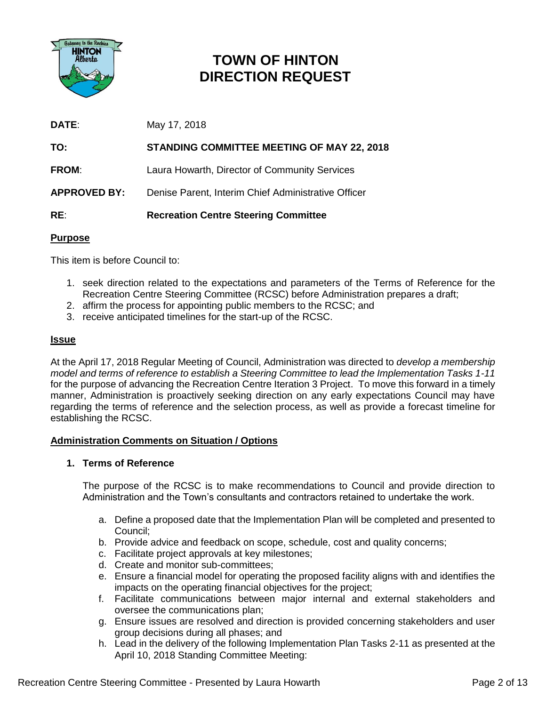

## **TOWN OF HINTON DIRECTION REQUEST**

**DATE**: May 17, 2018

**TO: STANDING COMMITTEE MEETING OF MAY 22, 2018 FROM:** Laura Howarth, Director of Community Services **APPROVED BY:** Denise Parent, Interim Chief Administrative Officer **RE**: **Recreation Centre Steering Committee**

### **Purpose**

This item is before Council to:

- 1. seek direction related to the expectations and parameters of the Terms of Reference for the Recreation Centre Steering Committee (RCSC) before Administration prepares a draft;
- 2. affirm the process for appointing public members to the RCSC; and
- 3. receive anticipated timelines for the start-up of the RCSC.

#### **Issue**

At the April 17, 2018 Regular Meeting of Council, Administration was directed to *develop a membership model and terms of reference to establish a Steering Committee to lead the Implementation Tasks 1-11* for the purpose of advancing the Recreation Centre Iteration 3 Project. To move this forward in a timely manner, Administration is proactively seeking direction on any early expectations Council may have regarding the terms of reference and the selection process, as well as provide a forecast timeline for establishing the RCSC.

#### **Administration Comments on Situation / Options**

#### **1. Terms of Reference**

The purpose of the RCSC is to make recommendations to Council and provide direction to Administration and the Town's consultants and contractors retained to undertake the work.

- a. Define a proposed date that the Implementation Plan will be completed and presented to Council;
- b. Provide advice and feedback on scope, schedule, cost and quality concerns;
- c. Facilitate project approvals at key milestones;
- d. Create and monitor sub-committees;
- e. Ensure a financial model for operating the proposed facility aligns with and identifies the impacts on the operating financial objectives for the project;
- f. Facilitate communications between major internal and external stakeholders and oversee the communications plan;
- g. Ensure issues are resolved and direction is provided concerning stakeholders and user group decisions during all phases; and
- h. Lead in the delivery of the following Implementation Plan Tasks 2-11 as presented at the April 10, 2018 Standing Committee Meeting: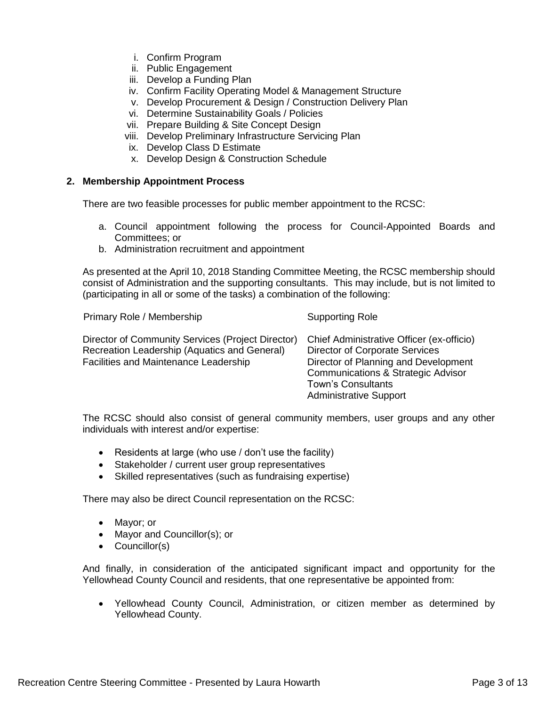- i. Confirm Program
- ii. Public Engagement
- iii. Develop a Funding Plan
- iv. Confirm Facility Operating Model & Management Structure
- v. Develop Procurement & Design / Construction Delivery Plan
- vi. Determine Sustainability Goals / Policies
- vii. Prepare Building & Site Concept Design
- viii. Develop Preliminary Infrastructure Servicing Plan
- ix. Develop Class D Estimate
- x. Develop Design & Construction Schedule

#### **2. Membership Appointment Process**

There are two feasible processes for public member appointment to the RCSC:

- a. Council appointment following the process for Council-Appointed Boards and Committees; or
- b. Administration recruitment and appointment

As presented at the April 10, 2018 Standing Committee Meeting, the RCSC membership should consist of Administration and the supporting consultants. This may include, but is not limited to (participating in all or some of the tasks) a combination of the following:

| Primary Role / Membership                                                                                                                  | <b>Supporting Role</b>                                                                                                                                                                                                         |
|--------------------------------------------------------------------------------------------------------------------------------------------|--------------------------------------------------------------------------------------------------------------------------------------------------------------------------------------------------------------------------------|
| Director of Community Services (Project Director)<br>Recreation Leadership (Aquatics and General)<br>Facilities and Maintenance Leadership | Chief Administrative Officer (ex-officio)<br><b>Director of Corporate Services</b><br>Director of Planning and Development<br>Communications & Strategic Advisor<br><b>Town's Consultants</b><br><b>Administrative Support</b> |

The RCSC should also consist of general community members, user groups and any other individuals with interest and/or expertise:

- Residents at large (who use / don't use the facility)
- Stakeholder / current user group representatives
- Skilled representatives (such as fundraising expertise)

There may also be direct Council representation on the RCSC:

- Mayor; or
- Mayor and Councillor(s); or
- Councillor(s)

And finally, in consideration of the anticipated significant impact and opportunity for the Yellowhead County Council and residents, that one representative be appointed from:

• Yellowhead County Council, Administration, or citizen member as determined by Yellowhead County.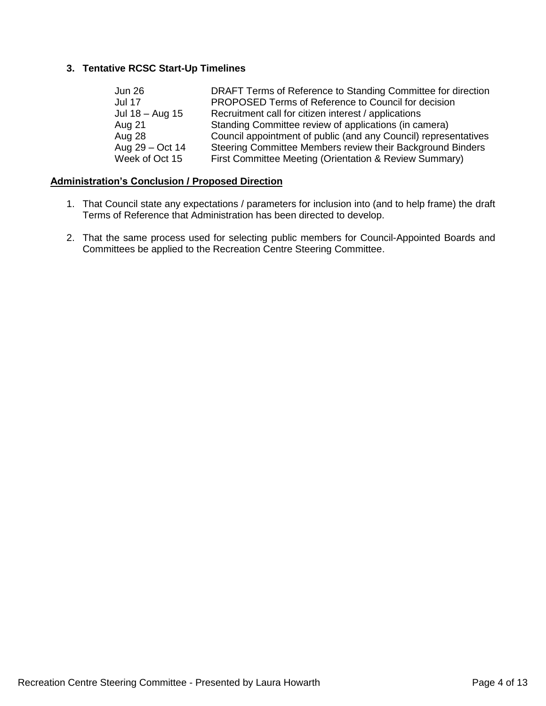### **3. Tentative RCSC Start-Up Timelines**

| <b>Jun 26</b>   | DRAFT Terms of Reference to Standing Committee for direction    |
|-----------------|-----------------------------------------------------------------|
| <b>Jul 17</b>   | PROPOSED Terms of Reference to Council for decision             |
| Jul 18 – Aug 15 | Recruitment call for citizen interest / applications            |
| Aug 21          | Standing Committee review of applications (in camera)           |
| Aug 28          | Council appointment of public (and any Council) representatives |
| Aug 29 – Oct 14 | Steering Committee Members review their Background Binders      |
| Week of Oct 15  | First Committee Meeting (Orientation & Review Summary)          |

#### **Administration's Conclusion / Proposed Direction**

- 1. That Council state any expectations / parameters for inclusion into (and to help frame) the draft Terms of Reference that Administration has been directed to develop.
- 2. That the same process used for selecting public members for Council-Appointed Boards and Committees be applied to the Recreation Centre Steering Committee.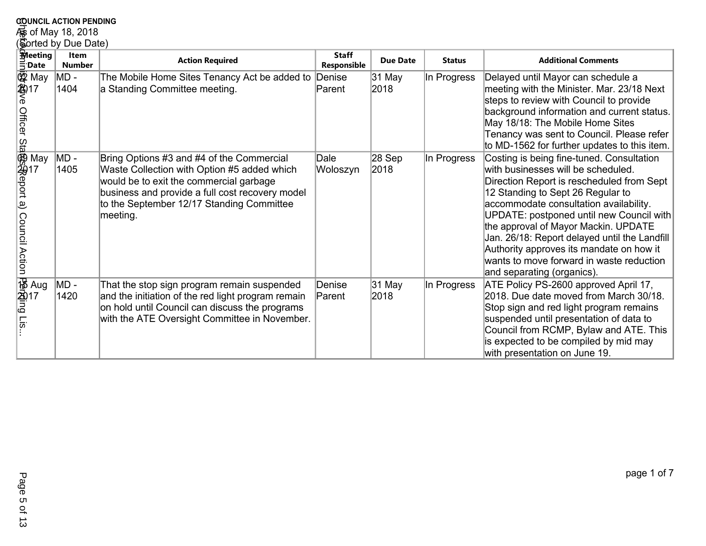# **COUNCIL ACTION PENDING<br>Foot May 18, 2018<br>(Sorted by Due Date)**

|                                                                                    | <b>COUNCIL ACTION PENDING</b> |                                                                                                                                                                                                                                                 |                             |                 |               |                                                                                                                                                                                                                                                                                                                                                                                                                                                                        |  |  |
|------------------------------------------------------------------------------------|-------------------------------|-------------------------------------------------------------------------------------------------------------------------------------------------------------------------------------------------------------------------------------------------|-----------------------------|-----------------|---------------|------------------------------------------------------------------------------------------------------------------------------------------------------------------------------------------------------------------------------------------------------------------------------------------------------------------------------------------------------------------------------------------------------------------------------------------------------------------------|--|--|
| <i>i</i> s of May 18, 2018                                                         |                               |                                                                                                                                                                                                                                                 |                             |                 |               |                                                                                                                                                                                                                                                                                                                                                                                                                                                                        |  |  |
| Sorted by Due Date)                                                                |                               |                                                                                                                                                                                                                                                 |                             |                 |               |                                                                                                                                                                                                                                                                                                                                                                                                                                                                        |  |  |
| <b>Meeting</b><br>$\Xi$ Date                                                       | <b>Item</b><br><b>Number</b>  | <b>Action Required</b>                                                                                                                                                                                                                          | <b>Staff</b><br>Responsible | <b>Due Date</b> | <b>Status</b> | <b>Additional Comments</b>                                                                                                                                                                                                                                                                                                                                                                                                                                             |  |  |
| <b>ئ</b> ة May<br>2017<br>る<br>の                                                   | MD -<br>1404                  | The Mobile Home Sites Tenancy Act be added to Denise<br>a Standing Committee meeting.                                                                                                                                                           | Parent                      | 31 May<br>2018  | In Progress   | Delayed until Mayor can schedule a<br>meeting with the Minister. Mar. 23/18 Next<br>steps to review with Council to provide<br>background information and current status.<br>May 18/18: The Mobile Home Sites<br>Tenancy was sent to Council. Please refer<br>to MD-1562 for further updates to this item.                                                                                                                                                             |  |  |
| officer Stagssteport a)<br>Officer Stagssteport a)<br>May<br><b>Council Action</b> | MD -<br>1405                  | Bring Options #3 and #4 of the Commercial<br>Waste Collection with Option #5 added which<br>would be to exit the commercial garbage<br>business and provide a full cost recovery model<br>to the September 12/17 Standing Committee<br>meeting. | Dale<br>Woloszyn            | 28 Sep<br>2018  | In Progress   | Costing is being fine-tuned. Consultation<br>with businesses will be scheduled.<br>Direction Report is rescheduled from Sept<br>12 Standing to Sept 26 Regular to<br>accommodate consultation availability.<br>UPDATE: postponed until new Council with<br>the approval of Mayor Mackin. UPDATE<br>Jan. 26/18: Report delayed until the Landfill<br>Authority approves its mandate on how it<br>wants to move forward in waste reduction<br>and separating (organics). |  |  |
| Mana<br>2017<br>Fig<br>Fig                                                         | MD -<br>1420                  | That the stop sign program remain suspended<br>and the initiation of the red light program remain<br>on hold until Council can discuss the programs<br>with the ATE Oversight Committee in November.                                            | Denise<br>Parent            | 31 May<br>2018  | In Progress   | ATE Policy PS-2600 approved April 17,<br>2018. Due date moved from March 30/18.<br>Stop sign and red light program remains<br>suspended until presentation of data to<br>Council from RCMP, Bylaw and ATE. This<br>is expected to be compiled by mid may<br>with presentation on June 19.                                                                                                                                                                              |  |  |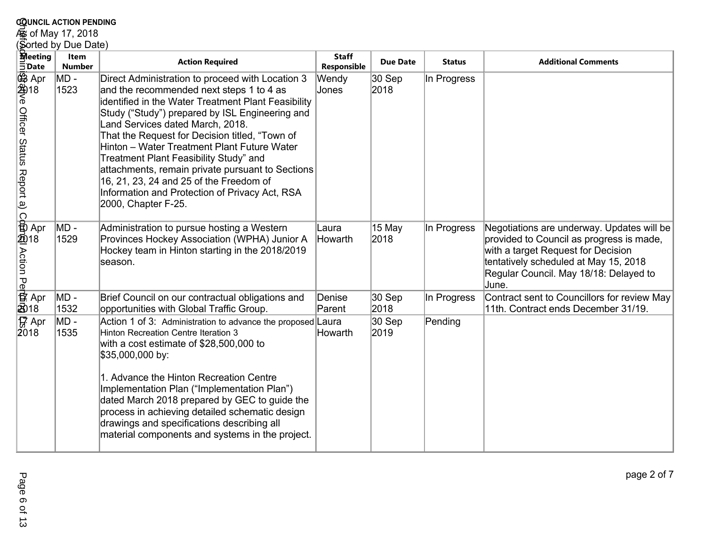## **c<u>o</u>unci∟ acтion PEnbing**<br>கூ of May 17, 2018<br>(Sorted by Due Date)

| <b>COUNCIL ACTION PENDING</b>                                   |                              |                                                                                                                                                                                                                                                                                                                                                                                                                                                                                                                                                               |                             |                   |               |                                                                                                                                                                                                                          |  |  |
|-----------------------------------------------------------------|------------------------------|---------------------------------------------------------------------------------------------------------------------------------------------------------------------------------------------------------------------------------------------------------------------------------------------------------------------------------------------------------------------------------------------------------------------------------------------------------------------------------------------------------------------------------------------------------------|-----------------------------|-------------------|---------------|--------------------------------------------------------------------------------------------------------------------------------------------------------------------------------------------------------------------------|--|--|
| و of May 17, 2018                                               |                              |                                                                                                                                                                                                                                                                                                                                                                                                                                                                                                                                                               |                             |                   |               |                                                                                                                                                                                                                          |  |  |
| Sorted by Due Date)                                             |                              |                                                                                                                                                                                                                                                                                                                                                                                                                                                                                                                                                               |                             |                   |               |                                                                                                                                                                                                                          |  |  |
| <b>Reeting</b><br>$\bar{5}$ Date                                | <b>Item</b><br><b>Number</b> | <b>Action Required</b>                                                                                                                                                                                                                                                                                                                                                                                                                                                                                                                                        | <b>Staff</b><br>Responsible | <b>Due Date</b>   | <b>Status</b> | <b>Additional Comments</b>                                                                                                                                                                                               |  |  |
| 母親e Officer Status<br>S<br>金像                                   | MD -<br>1523                 | Direct Administration to proceed with Location 3<br>and the recommended next steps 1 to 4 as<br>identified in the Water Treatment Plant Feasibility<br>Study ("Study") prepared by ISL Engineering and<br>Land Services dated March, 2018.<br>That the Request for Decision titled, "Town of<br>Hinton - Water Treatment Plant Future Water<br>Treatment Plant Feasibility Study" and<br>attachments, remain private pursuant to Sections<br>16, 21, 23, 24 and 25 of the Freedom of<br>Information and Protection of Privacy Act, RSA<br>2000, Chapter F-25. | Wendy<br>Jones              | 30 Sep<br>2018    | In Progress   |                                                                                                                                                                                                                          |  |  |
| baport a) Cp\$P@l Action Peh啟t<br>Report a) Cp\$P@l Action Peh\ | MD -<br>1529                 | Administration to pursue hosting a Western<br>Provinces Hockey Association (WPHA) Junior A<br>Hockey team in Hinton starting in the 2018/2019<br>season.                                                                                                                                                                                                                                                                                                                                                                                                      | Laura<br>Howarth            | 15 May<br>2018    | In Progress   | Negotiations are underway. Updates will be<br>provided to Council as progress is made,<br>with a target Request for Decision<br>tentatively scheduled at May 15, 2018<br>Regular Council. May 18/18: Delayed to<br>June. |  |  |
| වි18                                                            | MD -<br>1532                 | Brief Council on our contractual obligations and<br>opportunities with Global Traffic Group.                                                                                                                                                                                                                                                                                                                                                                                                                                                                  | Denise<br>Parent            | $ 30S$ ep<br>2018 | In Progress   | Contract sent to Councillors for review May<br>11th. Contract ends December 31/19.                                                                                                                                       |  |  |
| tra Apr<br>2018                                                 | MD -<br>1535                 | Action 1 of 3: Administration to advance the proposed Laura<br>Hinton Recreation Centre Iteration 3<br>with a cost estimate of \$28,500,000 to<br>\$35,000,000 by:<br>1. Advance the Hinton Recreation Centre<br>Implementation Plan ("Implementation Plan")<br>dated March 2018 prepared by GEC to guide the<br>process in achieving detailed schematic design<br>drawings and specifications describing all<br>material components and systems in the project.                                                                                              | Howarth                     | 30 Sep<br>2019    | Pending       |                                                                                                                                                                                                                          |  |  |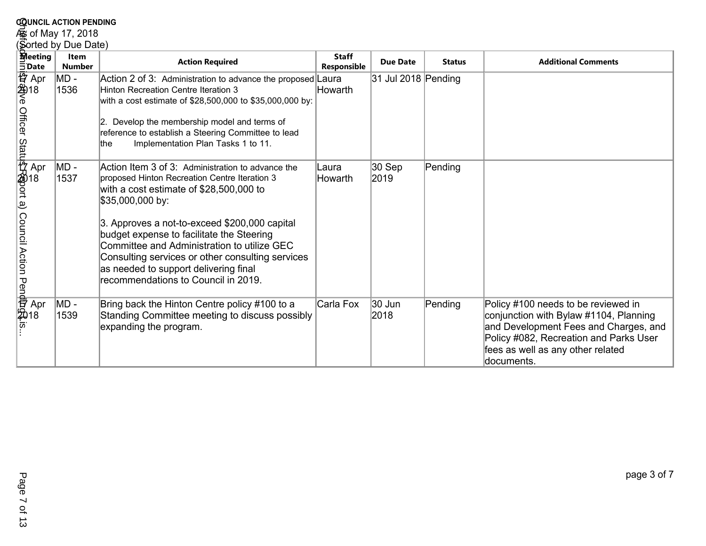# **COUNCIL ACTION PENDING<br>Æg of May 17, 2018<br>(Sorted by Due Date)**

|                                                                                                         | <b>COUNCIL ACTION PENDING</b> |                                                                                                                                                                                                                                                                                                                                                                                                                                                    |                                    |                     |               |                                                                                                                                                                                                                     |  |  |  |
|---------------------------------------------------------------------------------------------------------|-------------------------------|----------------------------------------------------------------------------------------------------------------------------------------------------------------------------------------------------------------------------------------------------------------------------------------------------------------------------------------------------------------------------------------------------------------------------------------------------|------------------------------------|---------------------|---------------|---------------------------------------------------------------------------------------------------------------------------------------------------------------------------------------------------------------------|--|--|--|
| و of May 17, 2018                                                                                       |                               |                                                                                                                                                                                                                                                                                                                                                                                                                                                    |                                    |                     |               |                                                                                                                                                                                                                     |  |  |  |
|                                                                                                         | (Sorted by Due Date)          |                                                                                                                                                                                                                                                                                                                                                                                                                                                    |                                    |                     |               |                                                                                                                                                                                                                     |  |  |  |
| <b>Meeting</b><br>$\bar{5}$ Date                                                                        | <b>Item</b><br><b>Number</b>  | <b>Action Required</b>                                                                                                                                                                                                                                                                                                                                                                                                                             | <b>Staff</b><br><b>Responsible</b> | <b>Due Date</b>     | <b>Status</b> | <b>Additional Comments</b>                                                                                                                                                                                          |  |  |  |
| 普<br>4<br>2<br>6<br>6<br>6                                                                              | $MD -$<br>1536                | Action 2 of 3: Administration to advance the proposed Laura<br>Hinton Recreation Centre Iteration 3<br>with a cost estimate of \$28,500,000 to \$35,000,000 by:<br>Develop the membership model and terms of<br>12.<br>reference to establish a Steering Committee to lead<br>Implementation Plan Tasks 1 to 11.<br>the                                                                                                                            | Howarth                            | 31 Jul 2018 Pending |               |                                                                                                                                                                                                                     |  |  |  |
| Officer Statu 약(Sport a) Council Action Pen예퍼(SH)<br>Officer Statu 약(Sport a) Council Action Pen예퍼(SH)s | MD -<br>1537                  | Action Item 3 of 3: Administration to advance the<br>proposed Hinton Recreation Centre Iteration 3<br>with a cost estimate of \$28,500,000 to<br>\$35,000,000 by:<br>3. Approves a not-to-exceed \$200,000 capital<br>budget expense to facilitate the Steering<br>Committee and Administration to utilize GEC<br>Consulting services or other consulting services<br>as needed to support delivering final<br>recommendations to Council in 2019. | Laura<br>Howarth                   | 30 Sep<br>2019      | Pending       |                                                                                                                                                                                                                     |  |  |  |
|                                                                                                         | MD -<br>1539                  | Bring back the Hinton Centre policy #100 to a<br>Standing Committee meeting to discuss possibly<br>expanding the program.                                                                                                                                                                                                                                                                                                                          | Carla Fox                          | 30 Jun<br>2018      | Pending       | Policy #100 needs to be reviewed in<br>conjunction with Bylaw #1104, Planning<br>and Development Fees and Charges, and<br>Policy #082, Recreation and Parks User<br>fees as well as any other related<br>documents. |  |  |  |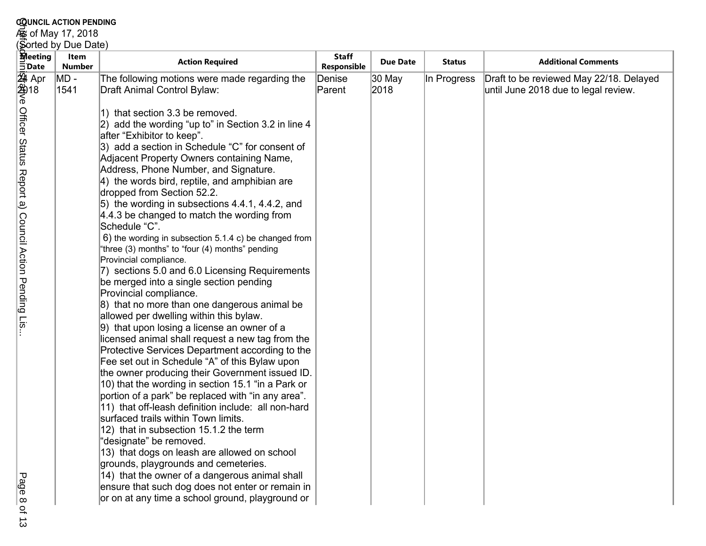|                                                                                                                           | <b>COUNCIL ACTION PENDING</b>         |                                                                                                                                                                                                                                                                                                                                                                                                                                                                                                                                                                                                                                                                                                                                                                                                                                                                                     |                                                 |                 |               |                                                                                 |  |  |  |
|---------------------------------------------------------------------------------------------------------------------------|---------------------------------------|-------------------------------------------------------------------------------------------------------------------------------------------------------------------------------------------------------------------------------------------------------------------------------------------------------------------------------------------------------------------------------------------------------------------------------------------------------------------------------------------------------------------------------------------------------------------------------------------------------------------------------------------------------------------------------------------------------------------------------------------------------------------------------------------------------------------------------------------------------------------------------------|-------------------------------------------------|-----------------|---------------|---------------------------------------------------------------------------------|--|--|--|
|                                                                                                                           | ⁄ெக் of May 17, 2018                  |                                                                                                                                                                                                                                                                                                                                                                                                                                                                                                                                                                                                                                                                                                                                                                                                                                                                                     |                                                 |                 |               |                                                                                 |  |  |  |
|                                                                                                                           | (Sorted by Due Date)                  |                                                                                                                                                                                                                                                                                                                                                                                                                                                                                                                                                                                                                                                                                                                                                                                                                                                                                     |                                                 |                 |               |                                                                                 |  |  |  |
|                                                                                                                           |                                       | <b>Action Required</b>                                                                                                                                                                                                                                                                                                                                                                                                                                                                                                                                                                                                                                                                                                                                                                                                                                                              |                                                 | <b>Due Date</b> | <b>Status</b> | <b>Additional Comments</b>                                                      |  |  |  |
| <b>Reeting</b><br>$\exists$ Date<br>変<br>244<br>(合)<br>6<br><b>Officer Status</b><br>Report a) Council Action Pending Lis | Item<br><b>Number</b><br>MD -<br>1541 | The following motions were made regarding the<br>Draft Animal Control Bylaw:<br>1) that section 3.3 be removed.<br>$ 2)$ add the wording "up to" in Section 3.2 in line 4<br>after "Exhibitor to keep".<br>3) add a section in Schedule "C" for consent of<br>Adjacent Property Owners containing Name,<br>Address, Phone Number, and Signature.<br>4) the words bird, reptile, and amphibian are<br>dropped from Section 52.2.<br>5) the wording in subsections 4.4.1, 4.4.2, and<br>4.4.3 be changed to match the wording from<br>Schedule "C".<br>6) the wording in subsection 5.1.4 c) be changed from<br>"three (3) months" to "four (4) months" pending<br>Provincial compliance.<br>7) sections 5.0 and 6.0 Licensing Requirements<br>be merged into a single section pending<br>Provincial compliance.                                                                      | <b>Staff</b><br>Responsible<br>Denise<br>Parent | 30 May<br>2018  | In Progress   | Draft to be reviewed May 22/18. Delayed<br>until June 2018 due to legal review. |  |  |  |
| Page<br>$\circ$<br>$\circ$                                                                                                |                                       | 8) that no more than one dangerous animal be<br>allowed per dwelling within this bylaw.<br>9) that upon losing a license an owner of a<br>licensed animal shall request a new tag from the<br>Protective Services Department according to the<br>Fee set out in Schedule "A" of this Bylaw upon<br>the owner producing their Government issued ID.<br>10) that the wording in section 15.1 "in a Park or<br>portion of a park" be replaced with "in any area".<br>11) that off-leash definition include: all non-hard<br>surfaced trails within Town limits.<br>12) that in subsection 15.1.2 the term<br>"designate" be removed.<br>13) that dogs on leash are allowed on school<br>grounds, playgrounds and cemeteries.<br>14) that the owner of a dangerous animal shall<br>ensure that such dog does not enter or remain in<br>or on at any time a school ground, playground or |                                                 |                 |               |                                                                                 |  |  |  |

Page 8 of 13 $113$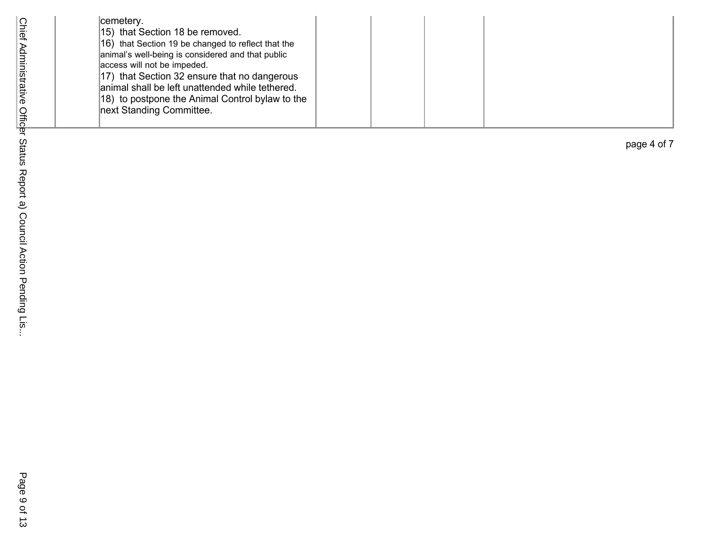|  | cemetery.<br>15) that Section 18 be removed.<br>16) that Section 19 be changed to reflect that the<br>animal's well-being is considered and that public<br>access will not be impeded.<br>17) that Section 32 ensure that no dangerous<br>animal shall be left unattended while tethered.<br>18) to postpone the Animal Control bylaw to the<br>next Standing Committee. |
|--|--------------------------------------------------------------------------------------------------------------------------------------------------------------------------------------------------------------------------------------------------------------------------------------------------------------------------------------------------------------------------|
|--|--------------------------------------------------------------------------------------------------------------------------------------------------------------------------------------------------------------------------------------------------------------------------------------------------------------------------------------------------------------------------|

page 4 of 7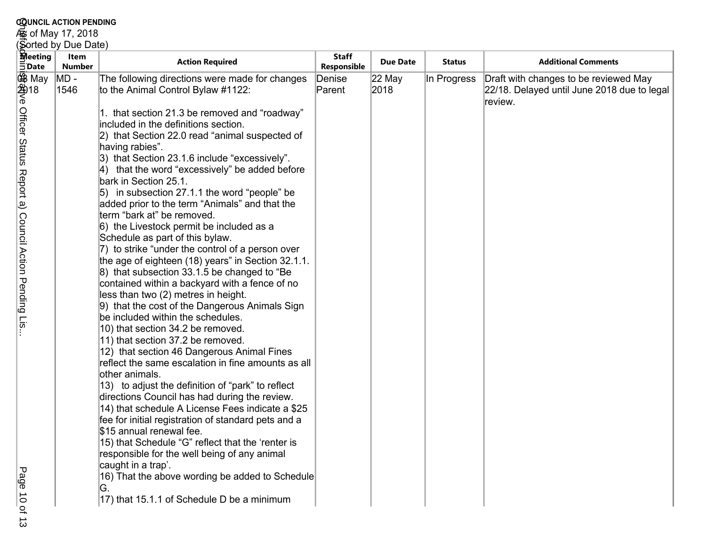#### **COUNCIL ACTION PENDING**

As of May 17, 2018

#### GotGick Aministes Adve Officer Status Report a) Council Action Pending Lis... (Sorted by Due Date)**Meeting Item Action Required Responsible**<br> **Action Required Responsible Due Date Status Additional Comments Date Number** $MD -$ 22 May MD - The following directions were made for changes<br>1546 to the Animal Control Bylaw #1122: In Progress Draft with changes to be reviewed May 08 May Denise Parent 2018 22/18. Delayed until June 2018 due to legal 2018review. Officer Status Report a) Council Action Pending Lis 1. that section 21.3 be removed and "roadway" included in the definitions section. 2) that Section 22.0 read "animal suspected of having rabies". 3) that Section 23.1.6 include "excessively". 4) that the word "excessively" be added before bark in Section 25.1. 5) in subsection 27.1.1 the word "people" be added prior to the term "Animals" and that the term "bark at" be removed. 6) the Livestock permit be included as a Schedule as part of this bylaw. 7) to strike "under the control of a person over the age of eighteen (18) years" in Section 32.1.1.8) that subsection 33.1.5 be changed to "Be contained within a backyard with a fence of no less than two (2) metres in height. 9) that the cost of the Dangerous Animals Sign be included within the schedules. 10) that section 34.2 be removed. 11) that section 37.2 be removed. 12) that section 46 Dangerous Animal Fines reflect the same escalation in fine amounts as all other animals. 13) to adjust the definition of "park" to reflect directions Council has had during the review. 14) that schedule A License Fees indicate a \$25 fee for initial registration of standard pets and a \$15 annual renewal fee. 15) that Schedule "G" reflect that the 'renter is responsible for the well being of any animal caught in a trap'.Page  $10$  of 16) That the above wording be added to Schedule G.17) that 15.1.1 of Schedule D be a minimum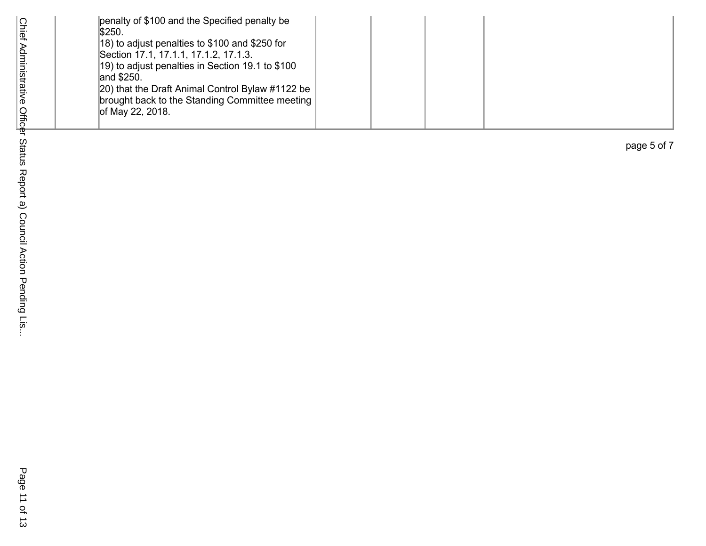| \$250. | penalty of \$100 and the Specified penalty be<br>18) to adjust penalties to \$100 and \$250 for<br>Section 17.1, 17.1.1, 17.1.2, 17.1.3.<br>19) to adjust penalties in Section 19.1 to \$100<br>and \$250.<br>20) that the Draft Animal Control Bylaw #1122 be<br>brought back to the Standing Committee meeting<br>of May 22, 2018. |
|--------|--------------------------------------------------------------------------------------------------------------------------------------------------------------------------------------------------------------------------------------------------------------------------------------------------------------------------------------|
|--------|--------------------------------------------------------------------------------------------------------------------------------------------------------------------------------------------------------------------------------------------------------------------------------------------------------------------------------------|

page 5 of 7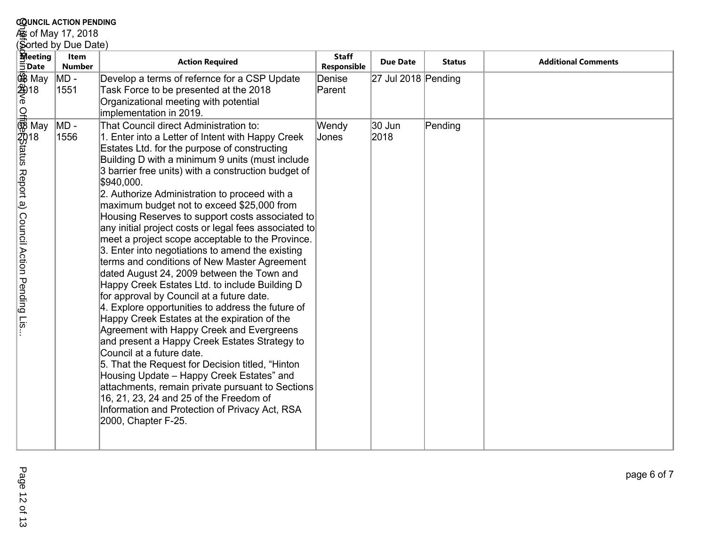## **c<u>o</u>unci∟ acтion PEnbing**<br>கூ of May 17, 2018<br>(Sorted by Due Date)

|                                                                                                   | <b>COUNCIL ACTION PENDING</b>  |                                                                                                                                                                                                                                                                                                                                                                                                                                                                                                                                                                                                                                                                                                                                                                                                                                                                                                                                                                                                                                                                                                                                                                                                                                                                                                                                                                                                                                                            |                                    |                                         |               |                            |  |  |  |
|---------------------------------------------------------------------------------------------------|--------------------------------|------------------------------------------------------------------------------------------------------------------------------------------------------------------------------------------------------------------------------------------------------------------------------------------------------------------------------------------------------------------------------------------------------------------------------------------------------------------------------------------------------------------------------------------------------------------------------------------------------------------------------------------------------------------------------------------------------------------------------------------------------------------------------------------------------------------------------------------------------------------------------------------------------------------------------------------------------------------------------------------------------------------------------------------------------------------------------------------------------------------------------------------------------------------------------------------------------------------------------------------------------------------------------------------------------------------------------------------------------------------------------------------------------------------------------------------------------------|------------------------------------|-----------------------------------------|---------------|----------------------------|--|--|--|
|                                                                                                   | ∕ఉంf May 17, 2018              |                                                                                                                                                                                                                                                                                                                                                                                                                                                                                                                                                                                                                                                                                                                                                                                                                                                                                                                                                                                                                                                                                                                                                                                                                                                                                                                                                                                                                                                            |                                    |                                         |               |                            |  |  |  |
|                                                                                                   | Sorted by Due Date)            |                                                                                                                                                                                                                                                                                                                                                                                                                                                                                                                                                                                                                                                                                                                                                                                                                                                                                                                                                                                                                                                                                                                                                                                                                                                                                                                                                                                                                                                            |                                    |                                         |               |                            |  |  |  |
| <b>M</b> eeting<br>$\bar{5}$ Date                                                                 | <b>Item</b><br><b>Number</b>   | <b>Action Required</b>                                                                                                                                                                                                                                                                                                                                                                                                                                                                                                                                                                                                                                                                                                                                                                                                                                                                                                                                                                                                                                                                                                                                                                                                                                                                                                                                                                                                                                     | <b>Staff</b><br>Responsible        | <b>Due Date</b>                         | <b>Status</b> | <b>Additional Comments</b> |  |  |  |
| 鸱 May<br>24)18<br>ଚ<br>ਊ<br>® May<br>™<br>2018<br>}<br>tatus Report a) Council Action Pending Lis | $MD -$<br>1551<br>MD -<br>1556 | Develop a terms of refernce for a CSP Update<br>Task Force to be presented at the 2018<br>Organizational meeting with potential<br>implementation in 2019.<br>That Council direct Administration to:<br>1. Enter into a Letter of Intent with Happy Creek<br>Estates Ltd. for the purpose of constructing<br>Building D with a minimum 9 units (must include<br>3 barrier free units) with a construction budget of<br>\$940,000.<br>2. Authorize Administration to proceed with a<br>maximum budget not to exceed \$25,000 from<br>Housing Reserves to support costs associated to<br>any initial project costs or legal fees associated to<br>meet a project scope acceptable to the Province.<br>3. Enter into negotiations to amend the existing<br>terms and conditions of New Master Agreement<br>dated August 24, 2009 between the Town and<br>Happy Creek Estates Ltd. to include Building D<br>for approval by Council at a future date.<br>4. Explore opportunities to address the future of<br>Happy Creek Estates at the expiration of the<br>Agreement with Happy Creek and Evergreens<br>and present a Happy Creek Estates Strategy to<br>Council at a future date.<br>5. That the Request for Decision titled, "Hinton<br>Housing Update - Happy Creek Estates" and<br>attachments, remain private pursuant to Sections<br>16, 21, 23, 24 and 25 of the Freedom of<br>Information and Protection of Privacy Act, RSA<br>2000, Chapter F-25. | Denise<br>Parent<br>Wendy<br>Jones | $27$ Jul 2018 Pending<br>30 Jun<br>2018 | Pending       |                            |  |  |  |
|                                                                                                   |                                |                                                                                                                                                                                                                                                                                                                                                                                                                                                                                                                                                                                                                                                                                                                                                                                                                                                                                                                                                                                                                                                                                                                                                                                                                                                                                                                                                                                                                                                            |                                    |                                         |               |                            |  |  |  |